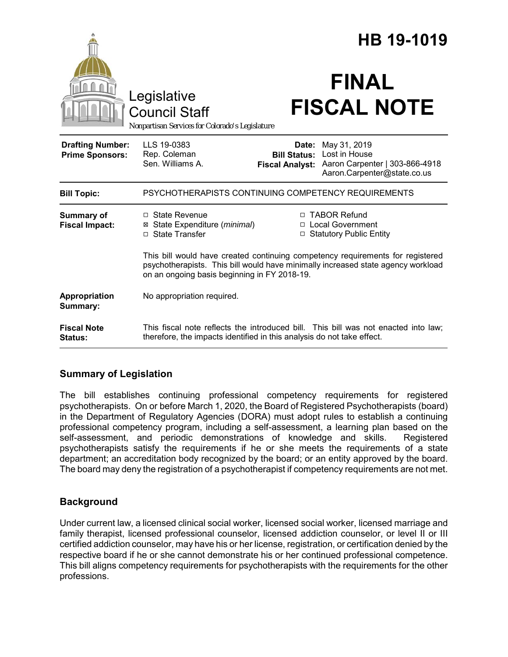|                                                   |                                                                                                                                                                                                                    |                                                        | HB 19-1019                                                                                     |
|---------------------------------------------------|--------------------------------------------------------------------------------------------------------------------------------------------------------------------------------------------------------------------|--------------------------------------------------------|------------------------------------------------------------------------------------------------|
|                                                   | Legislative<br><b>Council Staff</b><br>Nonpartisan Services for Colorado's Legislature                                                                                                                             |                                                        | <b>FINAL</b><br><b>FISCAL NOTE</b>                                                             |
| <b>Drafting Number:</b><br><b>Prime Sponsors:</b> | LLS 19-0383<br>Rep. Coleman<br>Sen. Williams A.                                                                                                                                                                    | Date:<br><b>Bill Status:</b><br><b>Fiscal Analyst:</b> | May 31, 2019<br>Lost in House<br>Aaron Carpenter   303-866-4918<br>Aaron.Carpenter@state.co.us |
| <b>Bill Topic:</b>                                | PSYCHOTHERAPISTS CONTINUING COMPETENCY REQUIREMENTS                                                                                                                                                                |                                                        |                                                                                                |
| <b>Summary of</b><br><b>Fiscal Impact:</b>        | $\Box$ State Revenue<br>State Expenditure (minimal)<br>□ State Transfer                                                                                                                                            |                                                        | □ TABOR Refund<br>□ Local Government<br>□ Statutory Public Entity                              |
|                                                   | This bill would have created continuing competency requirements for registered<br>psychotherapists. This bill would have minimally increased state agency workload<br>on an ongoing basis beginning in FY 2018-19. |                                                        |                                                                                                |
| Appropriation<br>Summary:                         | No appropriation required.                                                                                                                                                                                         |                                                        |                                                                                                |
| <b>Fiscal Note</b><br>Status:                     | therefore, the impacts identified in this analysis do not take effect.                                                                                                                                             |                                                        | This fiscal note reflects the introduced bill. This bill was not enacted into law;             |

# **Summary of Legislation**

The bill establishes continuing professional competency requirements for registered psychotherapists. On or before March 1, 2020, the Board of Registered Psychotherapists (board) in the Department of Regulatory Agencies (DORA) must adopt rules to establish a continuing professional competency program, including a self-assessment, a learning plan based on the self-assessment, and periodic demonstrations of knowledge and skills. Registered psychotherapists satisfy the requirements if he or she meets the requirements of a state department; an accreditation body recognized by the board; or an entity approved by the board. The board may deny the registration of a psychotherapist if competency requirements are not met.

# **Background**

Under current law, a licensed clinical social worker, licensed social worker, licensed marriage and family therapist, licensed professional counselor, licensed addiction counselor, or level II or III certified addiction counselor, may have his or her license, registration, or certification denied by the respective board if he or she cannot demonstrate his or her continued professional competence. This bill aligns competency requirements for psychotherapists with the requirements for the other professions.